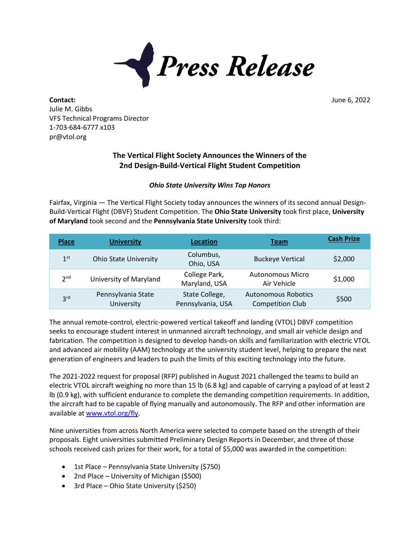

**Contact:** June 6, 2022 Julie M. Gibbs VFS Technical Programs Director 1-703-684-6777 x103 pr@vtol.org

## **The Vertical Flight Society Announces the Winners of the 2nd Design-Build-Vertical Flight Student Competition**

## *Ohio State University Wins Top Honors*

Fairfax, Virginia — The Vertical Flight Society today announces the winners of its second annual Design-Build-Vertical Flight (DBVF) Student Competition. The **Ohio State University** took first place, **University of Maryland** took second and the **Pennsylvania State University** took third:

| <b>Place</b>    | <b>University</b>                | <b>Location</b>                     | Team                                                  | <b>Cash Prize</b> |
|-----------------|----------------------------------|-------------------------------------|-------------------------------------------------------|-------------------|
| 1 <sup>st</sup> | <b>Ohio State University</b>     | Columbus,<br>Ohio, USA              | <b>Buckeye Vertical</b>                               | \$2,000           |
| 2 <sub>nd</sub> | University of Maryland           | College Park,<br>Maryland, USA      | <b>Autonomous Micro</b><br>Air Vehicle                | \$1,000           |
| 3 <sup>rd</sup> | Pennsylvania State<br>University | State College,<br>Pennsylvania, USA | <b>Autonomous Robotics</b><br><b>Competition Club</b> | \$500             |

The annual remote-control, electric-powered vertical takeoff and landing (VTOL) DBVF competition seeks to encourage student interest in unmanned aircraft technology, and small air vehicle design and fabrication. The competition is designed to develop hands-on skills and familiarization with electric VTOL and advanced air mobility (AAM) technology at the university student level, helping to prepare the next generation of engineers and leaders to push the limits of this exciting technology into the future.

The 2021-2022 request for proposal (RFP) published in August 2021 challenged the teams to build an electric VTOL aircraft weighing no more than 15 lb (6.8 kg) and capable of carrying a payload of at least 2 lb (0.9 kg), with sufficient endurance to complete the demanding competition requirements. In addition, the aircraft had to be capable of flying manually and autonomously. The RFP and other information are available a[t www.vtol.org/fly.](http://www.vtol.org/fly)

Nine universities from across North America were selected to compete based on the strength of their proposals. Eight universities submitted Preliminary Design Reports in December, and three of those schools received cash prizes for their work, for a total of \$5,000 was awarded in the competition:

- 1st Place Pennsylvania State University (\$750)
- 2nd Place University of Michigan (\$500)
- 3rd Place Ohio State University (\$250)